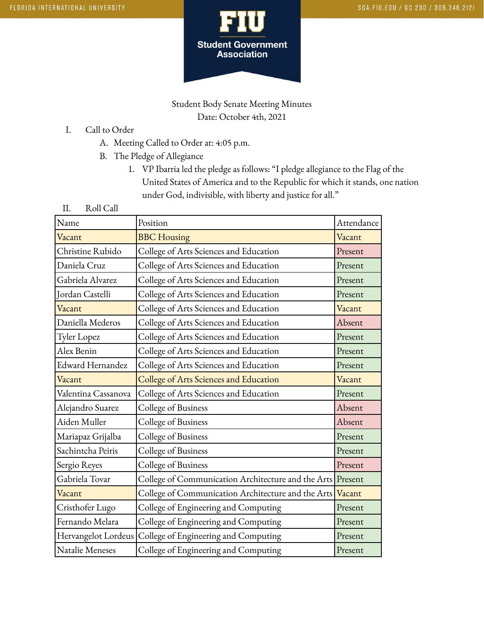

Student Body Senate Meeting Minutes Date: October 4th, 2021

- I. Call to Order
	- A. Meeting Called to Order at: 4:05 p.m.
	- B. The Pledge of Allegiance
		- 1. VP Ibarria led the pledge as follows: "I pledge allegiance to the Flag of the United States of America and to the Republic for which it stands, one nation under God, indivisible, with liberty and justice for all."
- II. Roll Call

| Name                | Position                                                   | Attendance |
|---------------------|------------------------------------------------------------|------------|
| Vacant              | <b>BBC</b> Housing                                         | Vacant     |
| Christine Rubido    | College of Arts Sciences and Education                     | Present    |
| Daniela Cruz        | College of Arts Sciences and Education                     | Present    |
| Gabriela Alvarez    | College of Arts Sciences and Education                     | Present    |
| Jordan Castelli     | College of Arts Sciences and Education                     | Present    |
| Vacant              | College of Arts Sciences and Education                     | Vacant     |
| Daniella Mederos    | College of Arts Sciences and Education                     | Absent     |
| Tyler Lopez         | College of Arts Sciences and Education                     | Present    |
| Alex Benin          | College of Arts Sciences and Education                     | Present    |
| Edward Hernandez    | College of Arts Sciences and Education                     | Present    |
| Vacant              | College of Arts Sciences and Education                     | Vacant     |
| Valentina Cassanova | College of Arts Sciences and Education                     | Present    |
| Alejandro Suarez    | College of Business                                        | Absent     |
| Aiden Muller        | College of Business                                        | Absent     |
| Mariapaz Grijalba   | College of Business                                        | Present    |
| Sachintcha Peiris   | College of Business                                        | Present    |
| Sergio Reyes        | College of Business                                        | Present    |
| Gabriela Tovar      | College of Communication Architecture and the Arts Present |            |
| Vacant              | College of Communication Architecture and the Arts Vacant  |            |
| Cristhofer Lugo     | College of Engineering and Computing                       | Present    |
| Fernando Melara     | College of Engineering and Computing                       | Present    |
| Hervangelot Lordeus | College of Engineering and Computing                       | Present    |
| Natalie Meneses     | College of Engineering and Computing                       | Present    |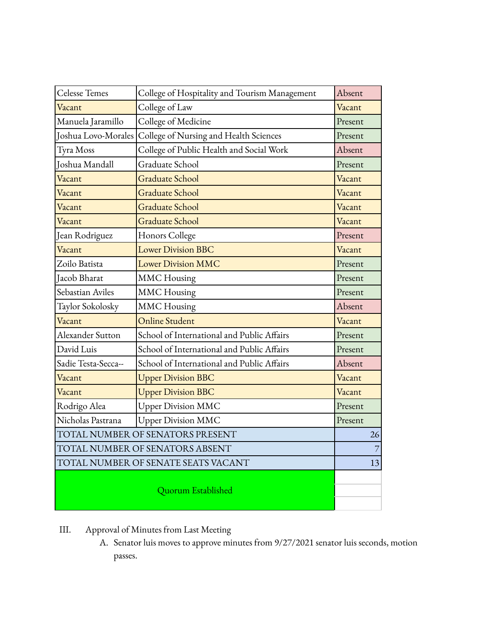| <b>Celesse Temes</b>                | College of Hospitality and Tourism Management | Absent  |
|-------------------------------------|-----------------------------------------------|---------|
| Vacant                              | College of Law                                | Vacant  |
| Manuela Jaramillo                   | College of Medicine                           | Present |
| Joshua Lovo-Morales                 | College of Nursing and Health Sciences        | Present |
| Tyra Moss                           | College of Public Health and Social Work      | Absent  |
| Joshua Mandall                      | Graduate School                               | Present |
| Vacant                              | <b>Graduate School</b>                        | Vacant  |
| Vacant                              | <b>Graduate School</b>                        | Vacant  |
| Vacant                              | <b>Graduate School</b>                        | Vacant  |
| Vacant                              | <b>Graduate School</b>                        | Vacant  |
| Jean Rodriguez                      | Honors College                                | Present |
| Vacant                              | <b>Lower Division BBC</b>                     | Vacant  |
| Zoilo Batista                       | <b>Lower Division MMC</b>                     | Present |
| Jacob Bharat                        | <b>MMC</b> Housing                            | Present |
| Sebastian Aviles                    | <b>MMC</b> Housing                            | Present |
| Taylor Sokolosky                    | <b>MMC</b> Housing                            | Absent  |
| Vacant                              | Online Student                                | Vacant  |
| Alexander Sutton                    | School of International and Public Affairs    | Present |
| David Luis                          | School of International and Public Affairs    | Present |
| Sadie Testa-Secca--                 | School of International and Public Affairs    | Absent  |
| Vacant                              | <b>Upper Division BBC</b>                     | Vacant  |
| Vacant                              | <b>Upper Division BBC</b>                     | Vacant  |
| Rodrigo Alea                        | <b>Upper Division MMC</b>                     | Present |
| Nicholas Pastrana                   | <b>Upper Division MMC</b>                     | Present |
| TOTAL NUMBER OF SENATORS PRESENT    |                                               | 26      |
| TOTAL NUMBER OF SENATORS ABSENT     |                                               | 7       |
| TOTAL NUMBER OF SENATE SEATS VACANT |                                               |         |
| Quorum Established                  |                                               |         |

- III. Approval of Minutes from Last Meeting
	- A. Senator luis moves to approve minutes from 9/27/2021 senator luis seconds, motion passes.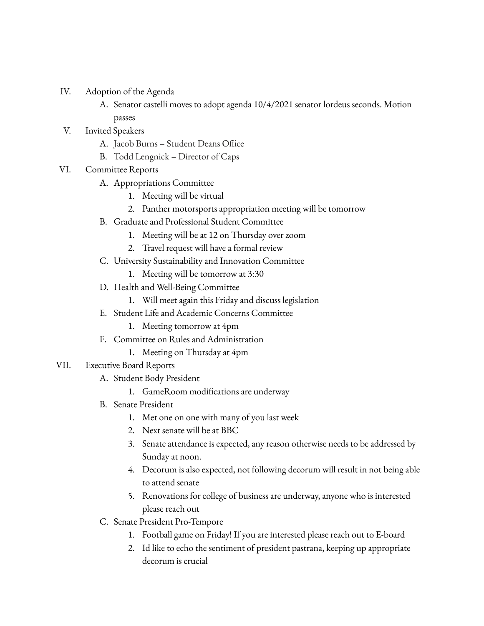- IV. Adoption of the Agenda
	- A. Senator castelli moves to adopt agenda 10/4/2021 senator lordeus seconds. Motion passes
- V. Invited Speakers
	- A. Jacob Burns Student Deans Office
	- B. Todd Lengnick Director of Caps
- VI. Committee Reports
	- A. Appropriations Committee
		- 1. Meeting will be virtual
		- 2. Panther motorsports appropriation meeting will be tomorrow
	- B. Graduate and Professional Student Committee
		- 1. Meeting will be at 12 on Thursday over zoom
		- 2. Travel request will have a formal review
	- C. University Sustainability and Innovation Committee
		- 1. Meeting will be tomorrow at 3:30
	- D. Health and Well-Being Committee
		- 1. Will meet again this Friday and discuss legislation
	- E. Student Life and Academic Concerns Committee
		- 1. Meeting tomorrow at 4pm
	- F. Committee on Rules and Administration
		- 1. Meeting on Thursday at 4pm
- VII. Executive Board Reports
	- A. Student Body President
		- 1. GameRoom modifications are underway
	- B. Senate President
		- 1. Met one on one with many of you last week
		- 2. Next senate will be at BBC
		- 3. Senate attendance is expected, any reason otherwise needs to be addressed by Sunday at noon.
		- 4. Decorum is also expected, not following decorum will result in not being able to attend senate
		- 5. Renovations for college of business are underway, anyone who is interested please reach out
	- C. Senate President Pro-Tempore
		- 1. Football game on Friday! If you are interested please reach out to E-board
		- 2. Id like to echo the sentiment of president pastrana, keeping up appropriate decorum is crucial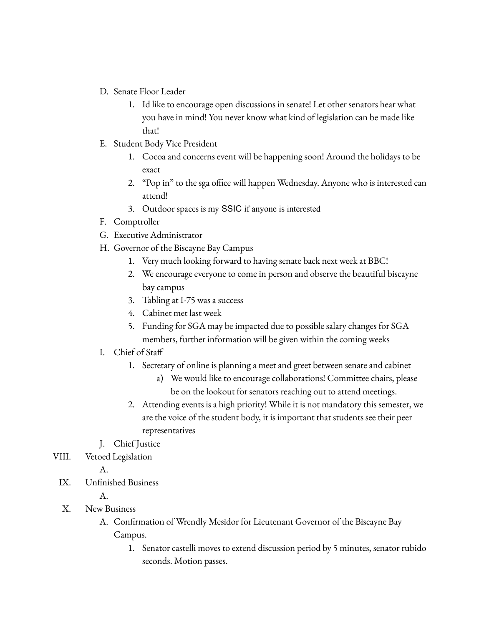- D. Senate Floor Leader
	- 1. Id like to encourage open discussions in senate! Let other senators hear what you have in mind! You never know what kind of legislation can be made like that!
- E. Student Body Vice President
	- 1. Cocoa and concerns event will be happening soon! Around the holidays to be exact
	- 2. "Pop in" to the sga office will happen Wednesday. Anyone who is interested can attend!
	- 3. Outdoor spaces is my SSIC if anyone is interested
- F. Comptroller
- G. Executive Administrator
- H. Governor of the Biscayne Bay Campus
	- 1. Very much looking forward to having senate back next week at BBC!
	- 2. We encourage everyone to come in person and observe the beautiful biscayne bay campus
	- 3. Tabling at I-75 was a success
	- 4. Cabinet met last week
	- 5. Funding for SGA may be impacted due to possible salary changes for SGA members, further information will be given within the coming weeks
- I. Chief of Staff
	- 1. Secretary of online is planning a meet and greet between senate and cabinet
		- a) We would like to encourage collaborations! Committee chairs, please be on the lookout for senators reaching out to attend meetings.
	- 2. Attending events is a high priority! While it is not mandatory this semester, we are the voice of the student body, it is important that students see their peer representatives
- J. Chief Justice
- VIII. Vetoed Legislation

A.

IX. Unfinished Business

A.

- X. New Business
	- A. Confirmation of Wrendly Mesidor for Lieutenant Governor of the Biscayne Bay Campus.
		- 1. Senator castelli moves to extend discussion period by 5 minutes, senator rubido seconds. Motion passes.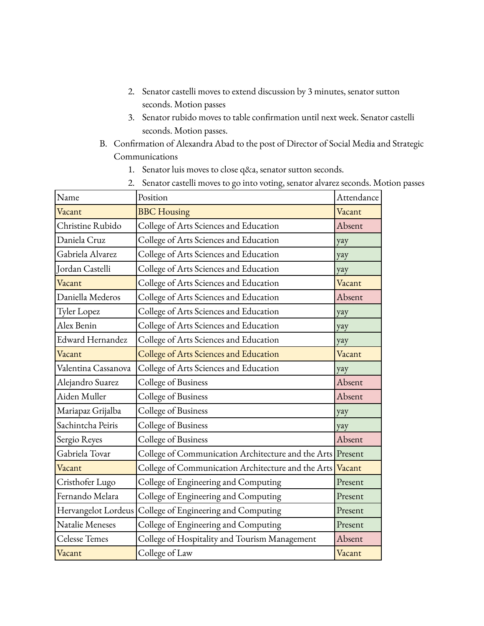- 2. Senator castelli moves to extend discussion by 3 minutes, senator sutton seconds. Motion passes
- 3. Senator rubido moves to table confirmation until next week. Senator castelli seconds. Motion passes.
- B. Confirmation of Alexandra Abad to the post of Director of Social Media and Strategic Communications
	- 1. Senator luis moves to close q&a, senator sutton seconds.
	- 2. Senator castelli moves to go into voting, senator alvarez seconds. Motion passes

| Name                 | Position                                                   | Attendance |
|----------------------|------------------------------------------------------------|------------|
| Vacant               | <b>BBC</b> Housing                                         | Vacant     |
| Christine Rubido     | College of Arts Sciences and Education                     | Absent     |
| Daniela Cruz         | College of Arts Sciences and Education                     | yay        |
| Gabriela Alvarez     | College of Arts Sciences and Education                     | yay        |
| Jordan Castelli      | College of Arts Sciences and Education                     | yay        |
| Vacant               | College of Arts Sciences and Education                     | Vacant     |
| Daniella Mederos     | College of Arts Sciences and Education                     | Absent     |
| <b>Tyler Lopez</b>   | College of Arts Sciences and Education                     | yay        |
| Alex Benin           | College of Arts Sciences and Education                     | yay        |
| Edward Hernandez     | College of Arts Sciences and Education                     | yay        |
| Vacant               | College of Arts Sciences and Education                     | Vacant     |
| Valentina Cassanova  | College of Arts Sciences and Education                     | yay        |
| Alejandro Suarez     | College of Business                                        | Absent     |
| Aiden Muller         | College of Business                                        | Absent     |
| Mariapaz Grijalba    | College of Business                                        | yay        |
| Sachintcha Peiris    | College of Business                                        | yay        |
| Sergio Reyes         | College of Business                                        | Absent     |
| Gabriela Tovar       | College of Communication Architecture and the Arts Present |            |
| Vacant               | College of Communication Architecture and the Arts Vacant  |            |
| Cristhofer Lugo      | College of Engineering and Computing                       | Present    |
| Fernando Melara      | College of Engineering and Computing                       | Present    |
| Hervangelot Lordeus  | College of Engineering and Computing                       | Present    |
| Natalie Meneses      | College of Engineering and Computing                       | Present    |
| <b>Celesse Temes</b> | College of Hospitality and Tourism Management              | Absent     |
| Vacant               | College of Law                                             | Vacant     |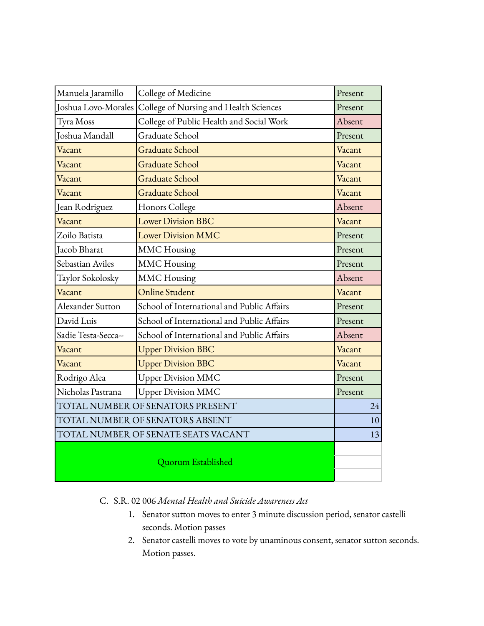| Manuela Jaramillo                   | College of Medicine                        | Present |    |
|-------------------------------------|--------------------------------------------|---------|----|
| Joshua Lovo-Morales                 | College of Nursing and Health Sciences     | Present |    |
| Tyra Moss                           | College of Public Health and Social Work   | Absent  |    |
| Joshua Mandall                      | Graduate School                            | Present |    |
| Vacant                              | <b>Graduate School</b>                     | Vacant  |    |
| Vacant                              | <b>Graduate School</b>                     | Vacant  |    |
| Vacant                              | <b>Graduate School</b>                     | Vacant  |    |
| Vacant                              | <b>Graduate School</b>                     | Vacant  |    |
| Jean Rodriguez                      | Honors College                             | Absent  |    |
| Vacant                              | <b>Lower Division BBC</b>                  | Vacant  |    |
| Zoilo Batista                       | <b>Lower Division MMC</b>                  | Present |    |
| Jacob Bharat                        | <b>MMC</b> Housing                         | Present |    |
| Sebastian Aviles                    | <b>MMC</b> Housing                         | Present |    |
| Taylor Sokolosky                    | <b>MMC</b> Housing                         | Absent  |    |
| Vacant                              | <b>Online Student</b>                      | Vacant  |    |
| Alexander Sutton                    | School of International and Public Affairs | Present |    |
| David Luis                          | School of International and Public Affairs | Present |    |
| Sadie Testa-Secca--                 | School of International and Public Affairs | Absent  |    |
| Vacant                              | <b>Upper Division BBC</b>                  | Vacant  |    |
| Vacant                              | <b>Upper Division BBC</b>                  | Vacant  |    |
| Rodrigo Alea                        | <b>Upper Division MMC</b>                  | Present |    |
| Nicholas Pastrana                   | <b>Upper Division MMC</b>                  | Present |    |
| TOTAL NUMBER OF SENATORS PRESENT    |                                            |         | 24 |
| TOTAL NUMBER OF SENATORS ABSENT     |                                            |         | 10 |
| TOTAL NUMBER OF SENATE SEATS VACANT |                                            |         | 13 |
| Quorum Established                  |                                            |         |    |

# C. S.R. 02 006 *Mental Health and Suicide Awareness Act*

- 1. Senator sutton moves to enter 3 minute discussion period, senator castelli seconds. Motion passes
- 2. Senator castelli moves to vote by unaminous consent, senator sutton seconds. Motion passes.